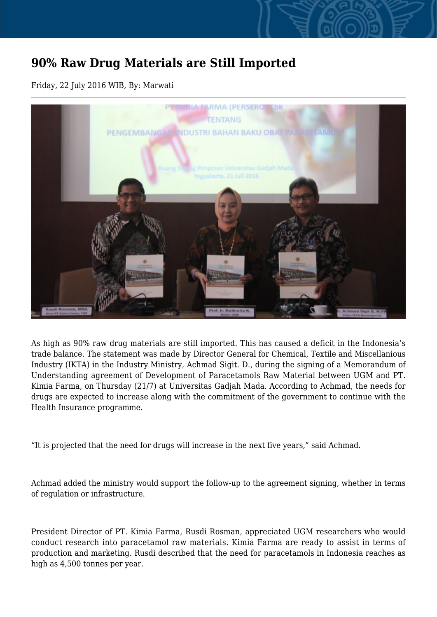## **90% Raw Drug Materials are Still Imported**

## Friday, 22 July 2016 WIB, By: Marwati



As high as 90% raw drug materials are still imported. This has caused a deficit in the Indonesia's trade balance. The statement was made by Director General for Chemical, Textile and Miscellanious Industry (IKTA) in the Industry Ministry, Achmad Sigit. D., during the signing of a Memorandum of Understanding agreement of Development of Paracetamols Raw Material between UGM and PT. Kimia Farma, on Thursday (21/7) at Universitas Gadjah Mada. According to Achmad, the needs for drugs are expected to increase along with the commitment of the government to continue with the Health Insurance programme.

"It is projected that the need for drugs will increase in the next five years," said Achmad.

Achmad added the ministry would support the follow-up to the agreement signing, whether in terms of regulation or infrastructure.

President Director of PT. Kimia Farma, Rusdi Rosman, appreciated UGM researchers who would conduct research into paracetamol raw materials. Kimia Farma are ready to assist in terms of production and marketing. Rusdi described that the need for paracetamols in Indonesia reaches as high as 4,500 tonnes per year.